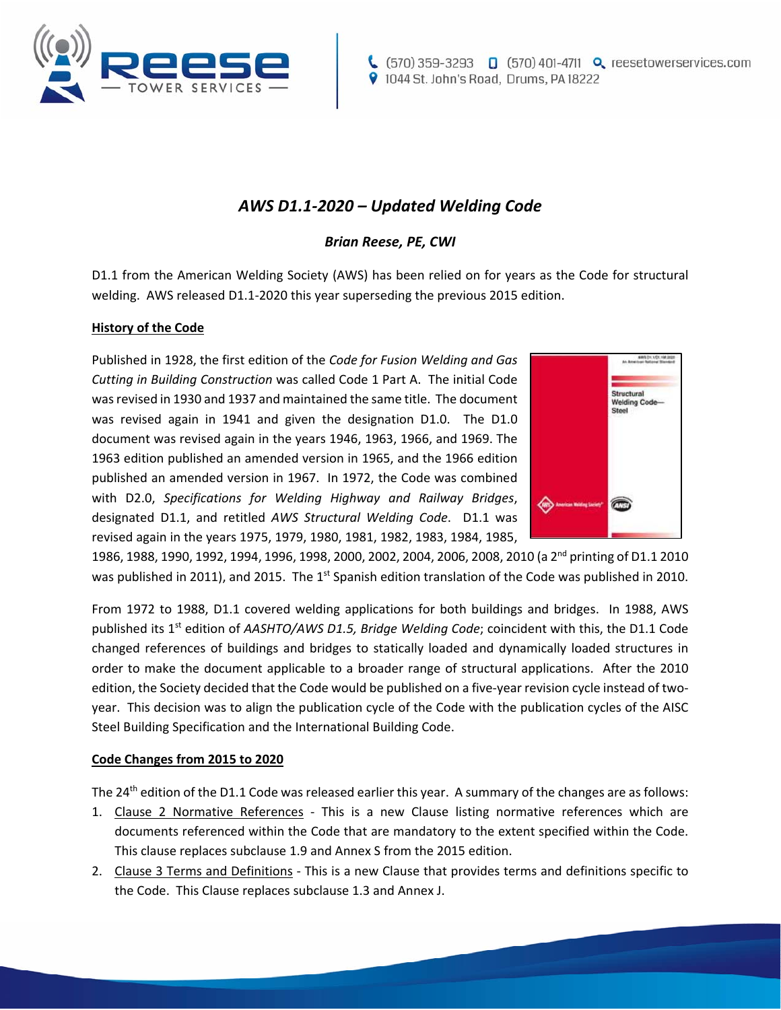

# *AWS D1.1‐2020 – Updated Welding Code*

## *Brian Reese, PE, CWI*

D1.1 from the American Welding Society (AWS) has been relied on for years as the Code for structural welding. AWS released D1.1-2020 this year superseding the previous 2015 edition.

### **History of the Code**

Published in 1928, the first edition of the *Code for Fusion Welding and Gas Cutting in Building Construction* was called Code 1 Part A. The initial Code was revised in 1930 and 1937 and maintained the same title. The document was revised again in 1941 and given the designation D1.0. The D1.0 document was revised again in the years 1946, 1963, 1966, and 1969. The 1963 edition published an amended version in 1965, and the 1966 edition published an amended version in 1967. In 1972, the Code was combined with D2.0, *Specifications for Welding Highway and Railway Bridges*, designated D1.1, and retitled AWS Structural Welding Code. D1.1 was revised again in the years 1975, 1979, 1980, 1981, 1982, 1983, 1984, 1985,



1986, 1988, 1990, 1992, 1994, 1996, 1998, 2000, 2002, 2004, 2006, 2008, 2010 (a 2nd printing of D1.1 2010 was published in 2011), and 2015. The 1<sup>st</sup> Spanish edition translation of the Code was published in 2010.

From 1972 to 1988, D1.1 covered welding applications for both buildings and bridges. In 1988, AWS published its 1<sup>st</sup> edition of *AASHTO/AWS D1.5, Bridge Welding Code*; coincident with this, the D1.1 Code changed references of buildings and bridges to statically loaded and dynamically loaded structures in order to make the document applicable to a broader range of structural applications. After the 2010 edition, the Society decided that the Code would be published on a five-year revision cycle instead of twoyear. This decision was to align the publication cycle of the Code with the publication cycles of the AISC Steel Building Specification and the International Building Code.

### **Code Changes from 2015 to 2020**

The 24<sup>th</sup> edition of the D1.1 Code was released earlier this year. A summary of the changes are as follows:

- 1. Clause 2 Normative References This is a new Clause listing normative references which are documents referenced within the Code that are mandatory to the extent specified within the Code. This clause replaces subclause 1.9 and Annex S from the 2015 edition.
- 2. Clause 3 Terms and Definitions ‐ This is a new Clause that provides terms and definitions specific to the Code. This Clause replaces subclause 1.3 and Annex J.